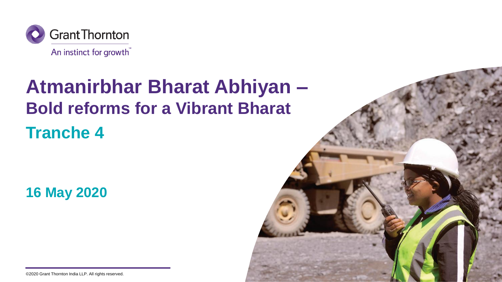

## **Atmanirbhar Bharat Abhiyan – Bold reforms for a Vibrant Bharat Tranche 4**

**16 May 2020**



©2020 Grant Thornton India LLP. All rights reserved.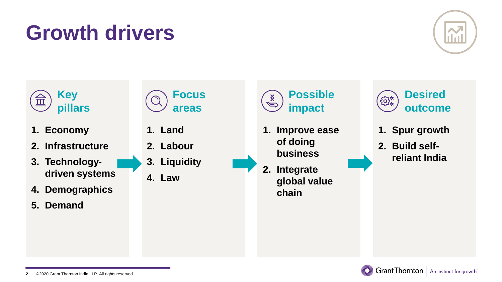## **Growth drivers**



**Grant Thornton** | An instinct for growth

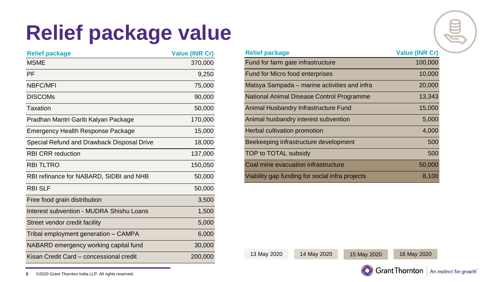# **Relief package value**

| <b>Relief package</b>                      | <b>Value (INR Cr)</b> | <b>Relief package</b>                           | <b>Value (INR 0)</b> |
|--------------------------------------------|-----------------------|-------------------------------------------------|----------------------|
| <b>MSME</b>                                | 370,000               | Fund for farm gate infrastructure               | 100,0                |
| PF                                         | 9,250                 | Fund for Micro food enterprises                 | 10,0                 |
| <b>NBFC/MFI</b>                            | 75,000                | Matsya Sampada – marine activities and infra    | 20,0                 |
| <b>DISCOMS</b>                             | 90,000                | National Animal Disease Control Programme       | 13,3                 |
| Taxation                                   | 50,000                | Animal Husbandry Infrastructure Fund            | 15,0                 |
| Pradhan Mantri Garib Kalyan Package        | 170,000               | Animal husbandry interest subvention            | 5,0                  |
| Emergency Health Response Package          | 15,000                | Herbal cultivation promotion                    | 4,0                  |
| Special Refund and Drawback Disposal Drive | 18,000                | Beekeeping infrastructure development           | 5                    |
| <b>RBI CRR</b> reduction                   | 137,000               | TOP to TOTAL subsidy                            | 5                    |
| <b>RBI TLTRO</b>                           | 150,050               | Coal mine evacuation infrastructure             | 50,0                 |
| RBI refinance for NABARD, SIDBI and NHB    | 50,000                | Viability gap funding for social infra projects | 8,1                  |
| <b>RBI SLF</b>                             | 50,000                |                                                 |                      |
| Free food grain distribution               | 3,500                 |                                                 |                      |
| Interest subvention - MUDRA Shishu Loans   | 1,500                 |                                                 |                      |
| Street vendor credit facility              | 5,000                 |                                                 |                      |
| Tribal employment generation - CAMPA       | 6,000                 |                                                 |                      |
| NABARD emergency working capital fund      | 30,000                |                                                 |                      |
| Kisan Credit Card - concessional credit    | 200,000               | 14 May 2020<br>13 May 2020<br>15 May 2020       | 16 May 2020          |

| <b>Relief package</b>                           | <b>Value (INR Cr)</b> |
|-------------------------------------------------|-----------------------|
| Fund for farm gate infrastructure               | 100,000               |
| Fund for Micro food enterprises                 | 10,000                |
| Matsya Sampada – marine activities and infra    | 20,000                |
| National Animal Disease Control Programme       | 13,343                |
| Animal Husbandry Infrastructure Fund            | 15,000                |
| Animal husbandry interest subvention            | 5,000                 |
| Herbal cultivation promotion                    | 4,000                 |
| Beekeeping infrastructure development           | 500                   |
| TOP to TOTAL subsidy                            | 500                   |
| Coal mine evacuation infrastructure             | 50,000                |
| Viability gap funding for social infra projects | 8.100                 |



 $\mathbb{R}$ 

©2020 Grant Thornton India LLP. All rights reserved. **3**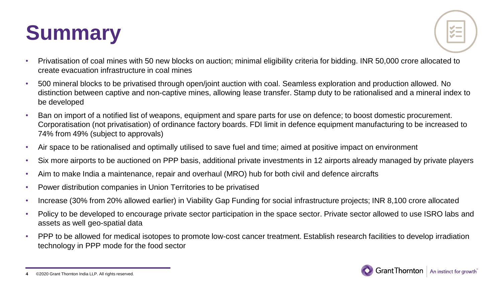# **Summary**



- Privatisation of coal mines with 50 new blocks on auction; minimal eligibility criteria for bidding. INR 50,000 crore allocated to create evacuation infrastructure in coal mines
- 500 mineral blocks to be privatised through open/joint auction with coal. Seamless exploration and production allowed. No distinction between captive and non-captive mines, allowing lease transfer. Stamp duty to be rationalised and a mineral index to be developed
- Ban on import of a notified list of weapons, equipment and spare parts for use on defence; to boost domestic procurement. Corporatisation (not privatisation) of ordinance factory boards. FDI limit in defence equipment manufacturing to be increased to 74% from 49% (subject to approvals)
- Air space to be rationalised and optimally utilised to save fuel and time; aimed at positive impact on environment
- Six more airports to be auctioned on PPP basis, additional private investments in 12 airports already managed by private players
- Aim to make India a maintenance, repair and overhaul (MRO) hub for both civil and defence aircrafts
- Power distribution companies in Union Territories to be privatised
- Increase (30% from 20% allowed earlier) in Viability Gap Funding for social infrastructure projects; INR 8,100 crore allocated
- Policy to be developed to encourage private sector participation in the space sector. Private sector allowed to use ISRO labs and assets as well geo-spatial data
- PPP to be allowed for medical isotopes to promote low-cost cancer treatment. Establish research facilities to develop irradiation technology in PPP mode for the food sector



<sup>©2020</sup> Grant Thornton India LLP. All rights reserved. **4**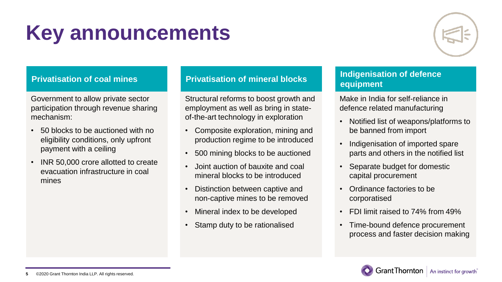

## **Privatisation of coal mines**

Government to allow private sector participation through revenue sharing mechanism:

- 50 blocks to be auctioned with no eligibility conditions, only upfront payment with a ceiling
- INR 50,000 crore allotted to create evacuation infrastructure in coal mines

### **Privatisation of mineral blocks**

Structural reforms to boost growth and employment as well as bring in stateof-the-art technology in exploration

- Composite exploration, mining and production regime to be introduced
- 500 mining blocks to be auctioned
- Joint auction of bauxite and coal mineral blocks to be introduced
- Distinction between captive and non-captive mines to be removed
- Mineral index to be developed
- Stamp duty to be rationalised

### **Indigenisation of defence equipment**

Make in India for self-reliance in defence related manufacturing

- Notified list of weapons/platforms to be banned from import
- Indigenisation of imported spare parts and others in the notified list
- Separate budget for domestic capital procurement
- Ordinance factories to be corporatised
- FDI limit raised to 74% from 49%
- Time-bound defence procurement process and faster decision making

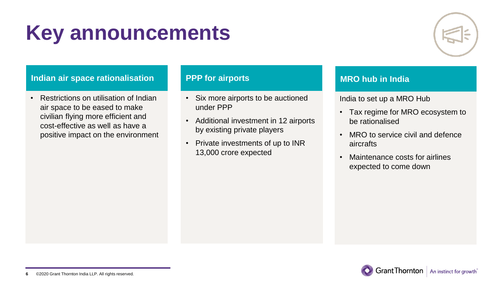

## **Indian air space rationalisation**

• Restrictions on utilisation of Indian air space to be eased to make civilian flying more efficient and cost-effective as well as have a positive impact on the environment

### **PPP for airports**

- Six more airports to be auctioned under PPP
- Additional investment in 12 airports by existing private players
- Private investments of up to INR 13,000 crore expected

## **MRO hub in India**

India to set up a MRO Hub

- Tax regime for MRO ecosystem to be rationalised
- MRO to service civil and defence aircrafts
- Maintenance costs for airlines expected to come down

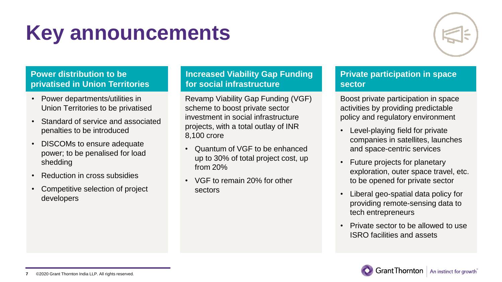

## **Power distribution to be privatised in Union Territories**

- Power departments/utilities in Union Territories to be privatised
- Standard of service and associated penalties to be introduced
- DISCOMs to ensure adequate power; to be penalised for load shedding
- Reduction in cross subsidies
- Competitive selection of project developers

## **Increased Viability Gap Funding for social infrastructure**

Revamp Viability Gap Funding (VGF) scheme to boost private sector investment in social infrastructure projects, with a total outlay of INR 8,100 crore

- Quantum of VGF to be enhanced up to 30% of total project cost, up from 20%
- VGF to remain 20% for other sectors

### **Private participation in space sector**

Boost private participation in space activities by providing predictable policy and regulatory environment

- Level-playing field for private companies in satellites, launches and space-centric services
- Future projects for planetary exploration, outer space travel, etc. to be opened for private sector
- Liberal geo-spatial data policy for providing remote-sensing data to tech entrepreneurs
- Private sector to be allowed to use ISRO facilities and assets

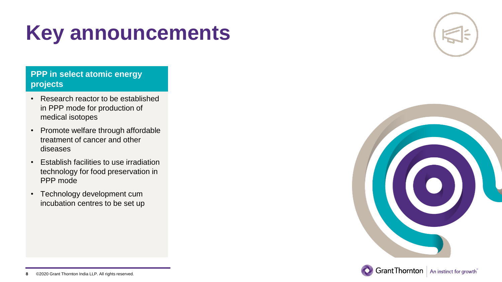## **PPP in select atomic energy projects**

- Research reactor to be established in PPP mode for production of medical isotopes
- Promote welfare through affordable treatment of cancer and other diseases
- Establish facilities to use irradiation technology for food preservation in PPP mode
- Technology development cum incubation centres to be set up





©2020 Grant Thornton India LLP. All rights reserved. **8**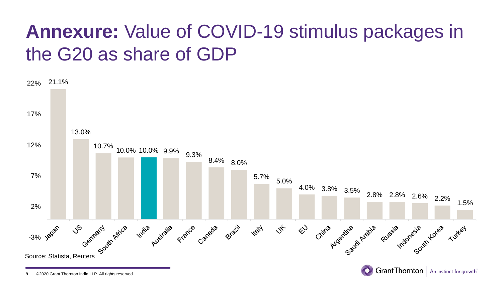## **Annexure:** Value of COVID-19 stimulus packages in the G20 as share of GDP



©2020 Grant Thornton India LLP. All rights reserved. **9**